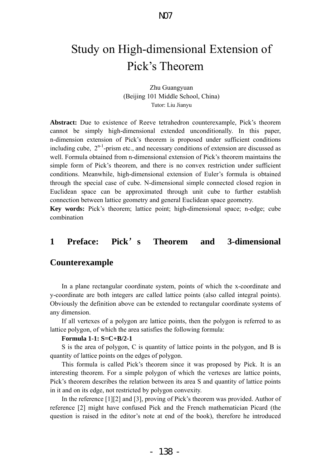# Study on High-dimensional Extension of Pick's Theorem

Zhu Guangyuan (Beijing 101 Middle School, China) Tutor: Liu Jianyu

**Abstract:** Due to existence of Reeve tetrahedron counterexample, Pick's theorem cannot be simply high-dimensional extended unconditionally. In this paper, n-dimension extension of Pick's theorem is proposed under sufficient conditions including cube,  $2^{n-1}$ -prism etc., and necessary conditions of extension are discussed as well. Formula obtained from n-dimensional extension of Pick's theorem maintains the simple form of Pick's theorem, and there is no convex restriction under sufficient conditions. Meanwhile, high-dimensional extension of Euler's formula is obtained through the special case of cube. N-dimensional simple connected closed region in Euclidean space can be approximated through unit cube to further establish connection between lattice geometry and general Euclidean space geometry.

**Key words:** Pick's theorem; lattice point; high-dimensional space; n-edge; cube combination

# **1 Preface: Pick**'**s Theorem and 3-dimensional**

#### **Counterexample**

In a plane rectangular coordinate system, points of which the x-coordinate and y-coordinate are both integers are called lattice points (also called integral points). Obviously the definition above can be extended to rectangular coordinate systems of any dimension.

If all vertexes of a polygon are lattice points, then the polygon is referred to as lattice polygon, of which the area satisfies the following formula:

#### **Formula 1-1: S=C+B/2-1**

S is the area of polygon, C is quantity of lattice points in the polygon, and B is quantity of lattice points on the edges of polygon.

This formula is called Pick's theorem since it was proposed by Pick. It is an interesting theorem. For a simple polygon of which the vertexes are lattice points, Pick's theorem describes the relation between its area S and quantity of lattice points in it and on its edge, not restricted by polygon convexity.

 In the reference [1][2] and [3], proving of Pick's theorem was provided. Author of reference [2] might have confused Pick and the French mathematician Picard (the question is raised in the editor's note at end of the book), therefore he introduced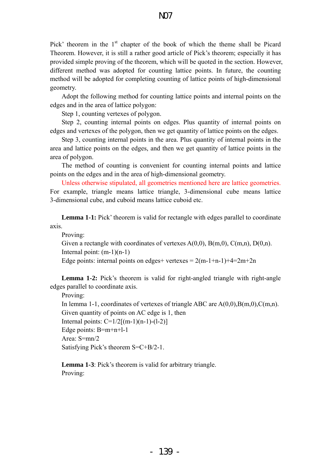Pick' theorem in the  $1<sup>st</sup>$  chapter of the book of which the theme shall be Picard Theorem. However, it is still a rather good article of Pick's theorem; especially it has provided simple proving of the theorem, which will be quoted in the section. However, different method was adopted for counting lattice points. In future, the counting method will be adopted for completing counting of lattice points of high-dimensional geometry.

Adopt the following method for counting lattice points and internal points on the edges and in the area of lattice polygon:

Step 1, counting vertexes of polygon.

Step 2, counting internal points on edges. Plus quantity of internal points on edges and vertexes of the polygon, then we get quantity of lattice points on the edges.

Step 3, counting internal points in the area. Plus quantity of internal points in the area and lattice points on the edges, and then we get quantity of lattice points in the area of polygon.

The method of counting is convenient for counting internal points and lattice points on the edges and in the area of high-dimensional geometry.

Unless otherwise stipulated, all geometries mentioned here are lattice geometries. For example, triangle means lattice triangle, 3-dimensional cube means lattice 3-dimensional cube, and cuboid means lattice cuboid etc.

**Lemma 1-1:** Pick' theorem is valid for rectangle with edges parallel to coordinate axis.

Proving:

Given a rectangle with coordinates of vertexes  $A(0,0)$ ,  $B(m,0)$ ,  $C(m,n)$ ,  $D(0,n)$ . Internal point: (m-1)(n-1)

Edge points: internal points on edges+ vertexes =  $2(m-1+n-1)+4=2m+2n$ 

**Lemma 1-2:** Pick's theorem is valid for right-angled triangle with right-angle edges parallel to coordinate axis.

Proving:

In lemma 1-1, coordinates of vertexes of triangle ABC are  $A(0,0),B(m,0),C(m,n)$ . Given quantity of points on AC edge is 1, then Internal points:  $C=1/2[(m-1)(n-1)-(1-2)]$ Edge points: B=m+n+l-1 Area: S=mn/2 Satisfying Pick's theorem S=C+B/2-1.

**Lemma 1-3**: Pick's theorem is valid for arbitrary triangle. Proving: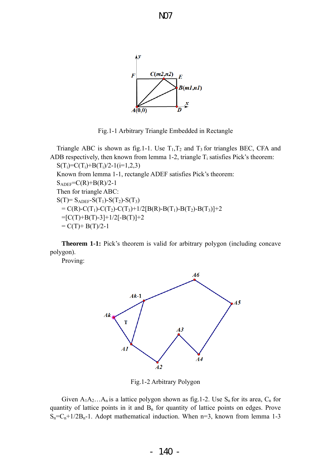

Fig.1-1 Arbitrary Triangle Embedded in Rectangle

Triangle ABC is shown as fig.1-1. Use  $T_1, T_2$  and  $T_3$  for triangles BEC, CFA and ADB respectively, then known from lemma 1-2, triangle  $T_i$  satisfies Pick's theorem:  $S(T_i)=C(T_i)+B(T_i)/2-1(i=1,2,3)$ Known from lemma 1-1, rectangle ADEF satisfies Pick's theorem:  $S_{ADEF} = C(R) + B(R)/2-1$ Then for triangle ABC:  $S(T) = S_{ADEF} - S(T_1) - S(T_2) - S(T_3)$  $= C(R)-C(T_1)-C(T_2)-C(T_3)+1/2[B(R)-B(T_1)-B(T_2)-B(T_3)]+2$  $=[C(T)+B(T)-3]+1/2[-B(T)]+2$  $= C(T) + B(T)/2-1$ 

**Theorem 1-1:** Pick's theorem is valid for arbitrary polygon (including concave polygon).

Proving:



Fig.1-2 Arbitrary Polygon

Given  $A_1A_2...A_n$  is a lattice polygon shown as fig.1-2. Use  $S_n$  for its area,  $C_n$  for quantity of lattice points in it and  $B_n$  for quantity of lattice points on edges. Prove  $S_n = C_n + 1/2B_n - 1$ . Adopt mathematical induction. When n=3, known from lemma 1-3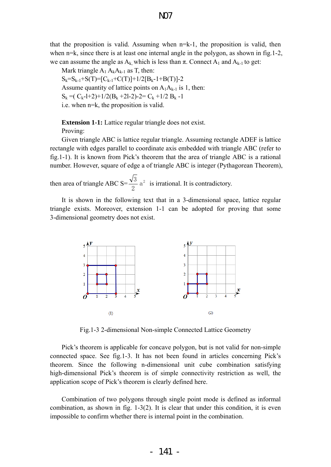that the proposition is valid. Assuming when n=k-1, the proposition is valid, then when n=k, since there is at least one internal angle in the polygon, as shown in fig.1-2, we can assume the angle as  $A_k$ , which is less than  $\pi$ . Connect  $A_1$  and  $A_{k-1}$  to get:

Mark triangle  $A_1 A_k A_{k-1}$  as T, then:  $S_k=S_{k-1}+S(T)=[C_{k-1}+C(T)]+1/2[B_{k-1}+B(T)]-2$ Assume quantity of lattice points on  $A_1A_{k-1}$  is 1, then:  $S_k = (C_k-1+2)+1/2(B_k+2-2)-2=C_k+1/2(B_k-1)$ i.e. when n=k, the proposition is valid.

**Extension 1-1:** Lattice regular triangle does not exist. Proving:

Given triangle ABC is lattice regular triangle. Assuming rectangle ADEF is lattice rectangle with edges parallel to coordinate axis embedded with triangle ABC (refer to fig.1-1). It is known from Pick's theorem that the area of triangle ABC is a rational number. However, square of edge a of triangle ABC is integer (Pythagorean Theorem),

then area of triangle ABC S= $\frac{\sqrt{3}}{2}$  a<sup>2</sup> 2  $\frac{3}{2}$  a<sup>2</sup> is irrational. It is contradictory.

It is shown in the following text that in a 3-dimensional space, lattice regular triangle exists. Moreover, extension 1-1 can be adopted for proving that some 3-dimensional geometry does not exist.



Fig.1-3 2-dimensional Non-simple Connected Lattice Geometry

Pick's theorem is applicable for concave polygon, but is not valid for non-simple connected space. See fig.1-3. It has not been found in articles concerning Pick's theorem. Since the following n-dimensional unit cube combination satisfying high-dimensional Pick's theorem is of simple connectivity restriction as well, the application scope of Pick's theorem is clearly defined here.

Combination of two polygons through single point mode is defined as informal combination, as shown in fig. 1-3(2). It is clear that under this condition, it is even impossible to confirm whether there is internal point in the combination.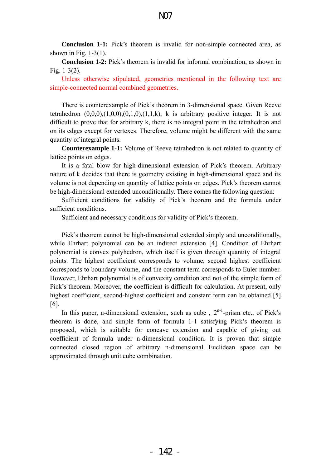**Conclusion 1-1:** Pick's theorem is invalid for non-simple connected area, as shown in Fig.  $1-3(1)$ .

**Conclusion 1-2:** Pick's theorem is invalid for informal combination, as shown in Fig. 1-3(2).

Unless otherwise stipulated, geometries mentioned in the following text are simple-connected normal combined geometries.

 There is counterexample of Pick's theorem in 3-dimensional space. Given Reeve tetrahedron  $(0,0,0)$ , $(1,0,0)$ , $(0,1,0)$ , $(1,1,k)$ , k is arbitrary positive integer. It is not difficult to prove that for arbitrary k, there is no integral point in the tetrahedron and on its edges except for vertexes. Therefore, volume might be different with the same quantity of integral points.

**Counterexample 1-1:** Volume of Reeve tetrahedron is not related to quantity of lattice points on edges.

It is a fatal blow for high-dimensional extension of Pick's theorem. Arbitrary nature of k decides that there is geometry existing in high-dimensional space and its volume is not depending on quantity of lattice points on edges. Pick's theorem cannot be high-dimensional extended unconditionally. There comes the following question:

Sufficient conditions for validity of Pick's theorem and the formula under sufficient conditions.

Sufficient and necessary conditions for validity of Pick's theorem.

Pick's theorem cannot be high-dimensional extended simply and unconditionally, while Ehrhart polynomial can be an indirect extension [4]. Condition of Ehrhart polynomial is convex polyhedron, which itself is given through quantity of integral points. The highest coefficient corresponds to volume, second highest coefficient corresponds to boundary volume, and the constant term corresponds to Euler number. However, Ehrhart polynomial is of convexity condition and not of the simple form of Pick's theorem. Moreover, the coefficient is difficult for calculation. At present, only highest coefficient, second-highest coefficient and constant term can be obtained [5] [6].

In this paper, n-dimensional extension, such as cube,  $2^{n-1}$ -prism etc., of Pick's theorem is done, and simple form of formula 1-1 satisfying Pick's theorem is proposed, which is suitable for concave extension and capable of giving out coefficient of formula under n-dimensional condition. It is proven that simple connected closed region of arbitrary n-dimensional Euclidean space can be approximated through unit cube combination.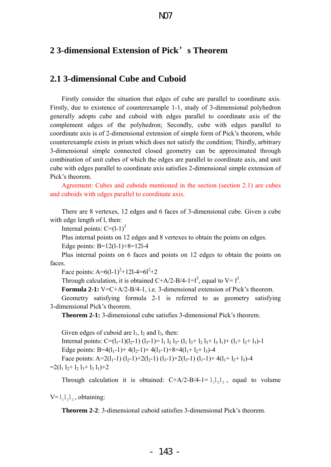# **2 3-dimensional Extension of Pick**'**s Theorem**

# **2.1 3-dimensional Cube and Cuboid**

Firstly consider the situation that edges of cube are parallel to coordinate axis. Firstly, due to existence of counterexample 1-1, study of 3-dimensional polyhedron generally adopts cube and cuboid with edges parallel to coordinate axis of the complement edges of the polyhedron; Secondly, cube with edges parallel to coordinate axis is of 2-dimensional extension of simple form of Pick's theorem, while counterexample exists in prism which does not satisfy the condition; Thirdly, arbitrary 3-dimensional simple connected closed geometry can be approximated through combination of unit cubes of which the edges are parallel to coordinate axis, and unit cube with edges parallel to coordinate axis satisfies 2-dimensional simple extension of Pick's theorem.

Agreement: Cubes and cuboids mentioned in the section (section 2.1) are cubes and cuboids with edges parallel to coordinate axis.

There are 8 vertexes, 12 edges and 6 faces of 3-dimensional cube. Given a cube with edge length of l, then:

Internal points:  $C=(1-1)^3$ 

Plus internal points on 12 edges and 8 vertexes to obtain the points on edges.

Edge points: B=12(l-1)+8=12l-4

Plus internal points on 6 faces and points on 12 edges to obtain the points on faces.

Face points:  $A=6(1-1)^2+121-4=61^2+2$ 

Through calculation, it is obtained C+A/2-B/4-1= $l^3$ , equal to V=  $l^3$ .

**Formula 2-1:** V=C+A/2-B/4-1, i.e. 3-dimensional extension of Pick's theorem.

Geometry satisfying formula 2-1 is referred to as geometry satisfying 3-dimensional Pick's theorem.

**Theorem 2-1:** 3-dimensional cube satisfies 3-dimensional Pick's theorem.

Given edges of cuboid are  $l_1$ ,  $l_2$  and  $l_3$ , then: Internal points:  $C=(l_1-1)(l_2-1)(l_3-1)=$   $l_1 l_2 l_3-(l_1 l_2+ l_2 l_3+ l_3 l_1)+(l_1+ l_2+ l_3)$ -1 Edge points: B=4(1<sub>1</sub>-1)+ 4(1<sub>2</sub>-1)+ 4(1<sub>3</sub>-1)+8=4(1<sub>1</sub>+ 1<sub>2</sub>+ 1<sub>3</sub>)-4 Face points: A=2(1<sub>1</sub>-1) (1<sub>2</sub>-1)+2(1<sub>2</sub>-1) (1<sub>3</sub>-1)+2(1<sub>3</sub>-1) (1<sub>1</sub>-1)+ 4(1<sub>1</sub>+ 1<sub>2</sub>+ 1<sub>3</sub>)-4  $=2(1_1 1_2+1_2 1_3+1_3 1_1)+2$ 

Through calculation it is obtained:  $C+A/2-B/4-1=1<sub>1</sub>1<sub>2</sub>1<sub>3</sub>$ , equal to volume

 $V=$  $l_1l_2l_3$ , obtaining:

**Theorem 2-2:** 3-dimensional cuboid satisfies 3-dimensional Pick's theorem.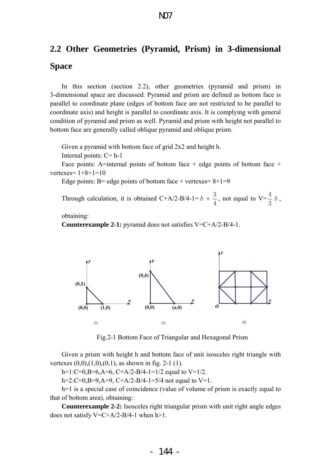# **2.2 Other Geometries (Pyramid, Prism) in 3-dimensional Space**

In this section (section 2.2), other geometries (pyramid and prism) in 3-dimensional space are discussed. Pyramid and prism are defined as bottom face is parallel to coordinate plane (edges of bottom face are not restricted to be parallel to coordinate axis) and height is parallel to coordinate axis. It is complying with general condition of pyramid and prism as well. Pyramid and prism with height not parallel to bottom face are generally called oblique pyramid and oblique prism.

Given a pyramid with bottom face of grid 2x2 and height h.

Internal points:  $C = h-1$ 

Face points: A=internal points of bottom face + edge points of bottom face + vertexes=  $1+8+1=10$ 

Edge points: B= edge points of bottom face + vertexes=  $8+1=9$ 

Through calculation, it is obtained  $C+A/2-B/4-1=$ 4  $h + \frac{3}{4}$ , not equal to V= $\frac{4}{8}$  h 3  $\frac{4}{h}$ ,

obtaining:

**Counterexample 2-1:** pyramid does not satisfies V=C+A/2-B/4-1.



Fig.2-1 Bottom Face of Triangular and Hexagonal Prism

Given a prism with height h and bottom face of unit isosceles right triangle with vertexes  $(0,0), (1,0), (0,1)$ , as shown in fig. 2-1 (1).

h=1:C=0,B=6,A=6, C+A/2-B/4-1=1/2 equal to V=1/2.

h=2:C=0,B=9,A=9, C+A/2-B/4-1=5/4 not equal to V=1.

h=1 is a special case of coincidence (value of volume of prism is exactly equal to that of bottom area), obtaining:

**Counterexample 2-2:** Isosceles right triangular prism with unit right angle edges does not satisfy  $V = C + A/2 - B/4 - 1$  when h > 1.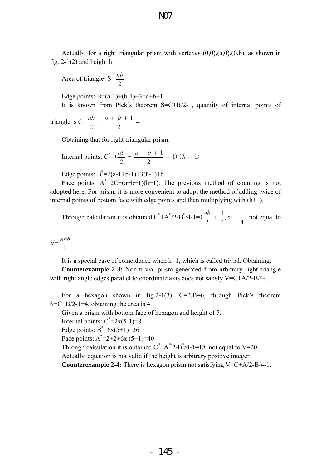Actually, for a right triangular prism with vertexes  $(0,0), (a,0), (0,b)$ , as shown in fig.  $2-1(2)$  and height h:

Area of triangle:  $S = \frac{ab}{2}$ 

Edge points:  $B=(a-1)+(b-1)+3=a+b+1$ 

It is known from Pick's theorem S=C+B/2-1, quantity of internal points of

triangle is C=
$$
\frac{ab}{2}
$$
 -  $\frac{a + b + 1}{2}$  + 1

Obtaining that for right triangular prism:

Internal points: 
$$
C^* = (\frac{ab}{2} - \frac{a+b+1}{2} + 1) (h - 1)
$$

Edge points:  $B^* = 2(a-1+b-1)+3(h-1)+6$ 

Face points:  $A^*=2C+(a+b+1)(h+1)$ . The previous method of counting is not adopted here. For prism, it is more convenient to adopt the method of adding twice of internal points of bottom face with edge points and then multiplying with (h+1).

Through calculation it is obtained C<sup>\*</sup>+A<sup>\*</sup>/2-B<sup>\*</sup>/4-1= 
$$
(\frac{ab}{2} + \frac{1}{4})h - \frac{1}{4}
$$
 not equal to

 $V=$ 2 abh

It is a special case of coincidence when h=1, which is called trivial. Obtaining:

**Counterexample 2-3:** Non-trivial prism generated from arbitrary right triangle with right angle edges parallel to coordinate axis does not satisfy V=C+A/2-B/4-1.

For a hexagon shown in fig. 2-1(3),  $C=2$ , B=6, through Pick's theorem  $S=C+B/2-1=4$ , obtaining the area is 4.

Given a prism with bottom face of hexagon and height of 5.

Internal points:  $C^* = 2x(5-1)=8$ 

Edge points:  $B^* = 6x(5+1) = 36$ 

Face points:  $A^* = 2 + 2 + 6x (5 + 1) = 40$ 

Through calculation it is obtained  $C^* + A^*/2 - B^*/4 - 1 = 18$ , not equal to V=20

Actually, equation is not valid if the height is arbitrary positive integer.

**Counterexample 2-4:** There is hexagon prism not satisfying V=C+A/2-B/4-1.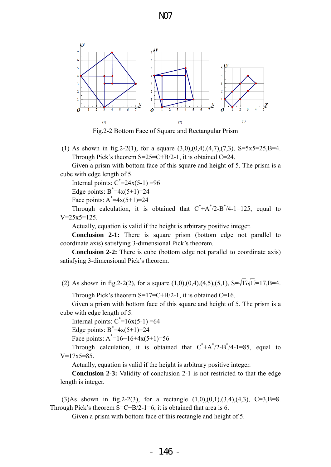

Fig.2-2 Bottom Face of Square and Rectangular Prism

(1) As shown in fig. 2-2(1), for a square  $(3,0),(0,4),(4,7),(7,3), S=5x5=25,B=4$ . Through Pick's theorem  $S=25=C+B/2-1$ , it is obtained  $C=24$ .

Given a prism with bottom face of this square and height of 5. The prism is a cube with edge length of 5.

Internal points:  $C^* = 24x(5-1) = 96$ 

Edge points:  $B^* = 4x(5+1) = 24$ 

Face points:  $A^* = 4x(5+1) = 24$ 

Through calculation, it is obtained that  $C^* + A^*/2 - B^*/4 - 1 = 125$ , equal to  $V=25x5=125$ .

Actually, equation is valid if the height is arbitrary positive integer.

**Conclusion 2-1:** There is square prism (bottom edge not parallel to coordinate axis) satisfying 3-dimensional Pick's theorem.

**Conclusion 2-2:** There is cube (bottom edge not parallel to coordinate axis) satisfying 3-dimensional Pick's theorem.

(2) As shown in fig.2-2(2), for a square  $(1,0),(0,4),(4,5),(5,1), S=\sqrt{17}\sqrt{17}=17,B=4$ .

Through Pick's theorem  $S=17=C+B/2-1$ , it is obtained  $C=16$ .

Given a prism with bottom face of this square and height of 5. The prism is a cube with edge length of 5.

Internal points:  $C^* = 16x(5-1) = 64$ 

Edge points:  $B^* = 4x(5+1) = 24$ 

Face points:  $A^* = 16 + 16 + 4X(5+1) = 56$ 

Through calculation, it is obtained that  $C^* + A^*/2 - B^*/4 - 1 = 85$ , equal to  $V=17x5=85$ .

Actually, equation is valid if the height is arbitrary positive integer.

**Conclusion 2-3:** Validity of conclusion 2-1 is not restricted to that the edge length is integer.

(3)As shown in fig. 2-2(3), for a rectangle  $(1,0),(0,1),(3,4),(4,3), C=3,B=8$ . Through Pick's theorem  $S=C+B/2-1=6$ , it is obtained that area is 6.

Given a prism with bottom face of this rectangle and height of 5.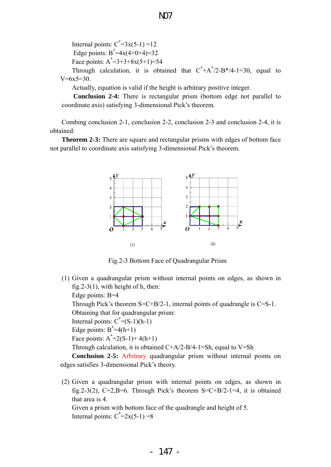Internal points:  $C^* = 3x(5-1) = 12$ Edge points:  $B^* = 4x(4+0+4) = 32$ Face points:  $A^* = 3 + 3 + 8x(5 + 1) = 54$ Through calculation, it is obtained that  $C^* + A^*/2 - B^*/4 - 1 = 30$ , equal to  $V=6x5=30$ .

N07

Actually, equation is valid if the height is arbitrary positive integer.

**Conclusion 2-4:** There is rectangular prism (bottom edge not parallel to coordinate axis) satisfying 3-dimensional Pick's theorem.

Combing conclusion 2-1, conclusion 2-2, conclusion 2-3 and conclusion 2-4, it is obtained:

**Theorem 2-3:** There are square and rectangular prisms with edges of bottom face not parallel to coordinate axis satisfying 3-dimensional Pick's theorem.



Fig.2-3 Bottom Face of Quadrangular Prism

(1) Given a quadrangular prism without internal points on edges, as shown in fig.2-3(1), with height of h, then: Edge points: B=4 Through Pick's theorem  $S=C+B/2-1$ , internal points of quadrangle is  $C=S-1$ .

Obtaining that for quadrangular prism:

Internal points:  $C^*=(S-1)(h-1)$ 

Edge points:  $B^* = 4(h+1)$ 

Face points:  $A^* = 2(S-1) + 4(h+1)$ 

Through calculation, it is obtained  $C+A/2-B/4-1=Sh$ , equal to V=Sh

**Conclusion 2-5:** Arbitrary quadrangular prism without internal points on edges satisfies 3-dimensional Pick's theory.

(2) Given a quadrangular prism with internal points on edges, as shown in fig.2-3(2), C=2,B=6. Through Pick's theorem  $S=C+B/2-1=4$ , it is obtained that area is 4. Given a prism with bottom face of the quadrangle and height of 5.

Internal points:  $C^* = 2x(5-1) = 8$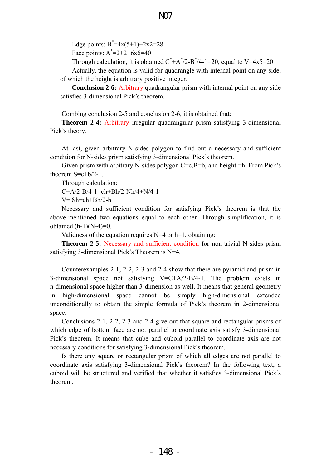Edge points:  $B^* = 4x(5+1) + 2x2 = 28$ 

Face points:  $A^* = 2 + 2 + 6 \times 6 = 40$ 

Through calculation, it is obtained  $C^* + A^*/2 - B^*/4 - 1 = 20$ , equal to V=4x5=20

Actually, the equation is valid for quadrangle with internal point on any side, of which the height is arbitrary positive integer.

**Conclusion 2-6:** Arbitrary quadrangular prism with internal point on any side satisfies 3-dimensional Pick's theorem.

Combing conclusion 2-5 and conclusion 2-6, it is obtained that:

**Theorem 2-4:** Arbitrary irregular quadrangular prism satisfying 3-dimensional Pick's theory.

At last, given arbitrary N-sides polygon to find out a necessary and sufficient condition for N-sides prism satisfying 3-dimensional Pick's theorem.

Given prism with arbitrary N-sides polygon  $C=c$ ,  $B=b$ , and height  $=h$ . From Pick's theorem  $S=c+b/2-1$ .

Through calculation:

 $C+A/2-B/4-1=ch+Bh/2-Nh/4+N/4-1$ 

 $V = Sh = ch + Bh/2-h$ 

Necessary and sufficient condition for satisfying Pick's theorem is that the above-mentioned two equations equal to each other. Through simplification, it is obtained  $(h-1)(N-4)=0$ .

Validness of the equation requires  $N=4$  or  $h=1$ , obtaining:

**Theorem 2-5:** Necessary and sufficient condition for non-trivial N-sides prism satisfying 3-dimensional Pick's Theorem is N=4.

Counterexamples 2-1, 2-2, 2-3 and 2-4 show that there are pyramid and prism in 3-dimensional space not satisfying  $V = C+A/2-B/4-1$ . The problem exists in n-dimensional space higher than 3-dimension as well. It means that general geometry in high-dimensional space cannot be simply high-dimensional extended unconditionally to obtain the simple formula of Pick's theorem in 2-dimensional space.

Conclusions 2-1, 2-2, 2-3 and 2-4 give out that square and rectangular prisms of which edge of bottom face are not parallel to coordinate axis satisfy 3-dimensional Pick's theorem. It means that cube and cuboid parallel to coordinate axis are not necessary conditions for satisfying 3-dimensional Pick's theorem.

Is there any square or rectangular prism of which all edges are not parallel to coordinate axis satisfying 3-dimensional Pick's theorem? In the following text, a cuboid will be structured and verified that whether it satisfies 3-dimensional Pick's theorem.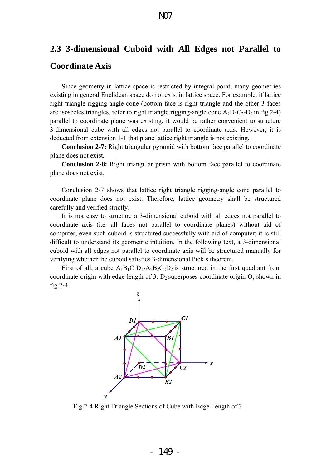# **2.3 3-dimensional Cuboid with All Edges not Parallel to Coordinate Axis**

# Since geometry in lattice space is restricted by integral point, many geometries existing in general Euclidean space do not exist in lattice space. For example, if lattice right triangle rigging-angle cone (bottom face is right triangle and the other 3 faces are isosceles triangles, refer to right triangle rigging-angle cone  $A_2D_1C_2-D_2$  in fig. 2-4) parallel to coordinate plane was existing, it would be rather convenient to structure 3-dimensional cube with all edges not parallel to coordinate axis. However, it is deducted from extension 1-1 that plane lattice right triangle is not existing.

**Conclusion 2-7:** Right triangular pyramid with bottom face parallel to coordinate plane does not exist.

**Conclusion 2-8:** Right triangular prism with bottom face parallel to coordinate plane does not exist.

Conclusion 2-7 shows that lattice right triangle rigging-angle cone parallel to coordinate plane does not exist. Therefore, lattice geometry shall be structured carefully and verified strictly.

It is not easy to structure a 3-dimensional cuboid with all edges not parallel to coordinate axis (i.e. all faces not parallel to coordinate planes) without aid of computer; even such cuboid is structured successfully with aid of computer; it is still difficult to understand its geometric intuition. In the following text, a 3-dimensional cuboid with all edges not parallel to coordinate axis will be structured manually for verifying whether the cuboid satisfies 3-dimensional Pick's theorem.

First of all, a cube  $A_1B_1C_1D_1-A_2B_2C_2D_2$  is structured in the first quadrant from coordinate origin with edge length of 3.  $D_2$  superposes coordinate origin O, shown in fig.2-4.



Fig.2-4 Right Triangle Sections of Cube with Edge Length of 3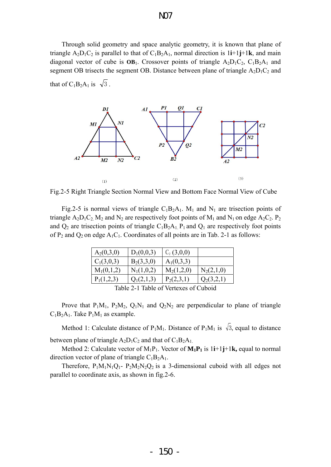Through solid geometry and space analytic geometry, it is known that plane of triangle  $A_2D_1C_2$  is parallel to that of  $C_1B_2A_1$ , normal direction is  $1\mathbf{i}+1\mathbf{j}+1\mathbf{k}$ , and main diagonal vector of cube is  $OB<sub>1</sub>$ . Crossover points of triangle  $A<sub>2</sub>D<sub>1</sub>C<sub>2</sub>$ ,  $C<sub>1</sub>B<sub>2</sub>A<sub>1</sub>$  and segment OB trisects the segment OB. Distance between plane of triangle  $A_2D_1C_2$  and that of C<sub>1</sub>B<sub>2</sub>A<sub>1</sub> is  $\sqrt{3}$ .



Fig.2-5 Right Triangle Section Normal View and Bottom Face Normal View of Cube

Fig.2-5 is normal views of triangle  $C_1B_2A_1$ . M<sub>1</sub> and N<sub>1</sub> are trisection points of triangle  $A_2D_1C_2$ . M<sub>2</sub> and N<sub>2</sub> are respectively foot points of M<sub>1</sub> and N<sub>1</sub> on edge  $A_2C_2$ . P<sub>2</sub> and  $Q_2$  are trisection points of triangle  $C_1B_2A_1$ .  $P_1$  and  $Q_1$  are respectively foot points of  $P_2$  and  $Q_2$  on edge  $A_1C_1$ . Coordinates of all points are in Tab. 2-1 as follows:

| $A_2(0,3,0)$                                                      | $D_1(0,0,3)$ | $C_2(3,0,0)$ |              |  |  |
|-------------------------------------------------------------------|--------------|--------------|--------------|--|--|
| $C_1(3,0,3)$                                                      | $B_2(3,3,0)$ | $A_1(0,3,3)$ |              |  |  |
| $M_1(0,1,2)$                                                      | $N_1(1,0,2)$ | $M_2(1,2,0)$ | $N_2(2,1,0)$ |  |  |
| $P_1(1,2,3)$                                                      | $Q_1(2,1,3)$ | $P_2(2,3,1)$ | $Q_2(3,2,1)$ |  |  |
| $0 \cap 1$ $\cdot 1$<br>T 1 1<br><b>A</b> 1 m 1 1<br>$\mathbf{C}$ |              |              |              |  |  |

Table 2-1 Table of Vertexes of Cuboid

Prove that  $P_1M_1$ ,  $P_2M_2$ ,  $Q_1N_1$  and  $Q_2N_2$  are perpendicular to plane of triangle  $C_1B_2A_1$ . Take  $P_1M_1$  as example.

Method 1: Calculate distance of P<sub>1</sub>M<sub>1</sub>. Distance of P<sub>1</sub>M<sub>1</sub> is  $\sqrt{3}$ , equal to distance between plane of triangle  $A_2D_1C_2$  and that of  $C_1B_2A_1$ .

Method 2: Calculate vector of  $M_1P_1$ . Vector of  $M_1P_1$  is 1*i*+1*j*+1*k*, equal to normal direction vector of plane of triangle  $C_1B_2A_1$ .

Therefore,  $P_1M_1N_1Q_1$ -  $P_2M_2N_2Q_2$  is a 3-dimensional cuboid with all edges not parallel to coordinate axis, as shown in fig.2-6.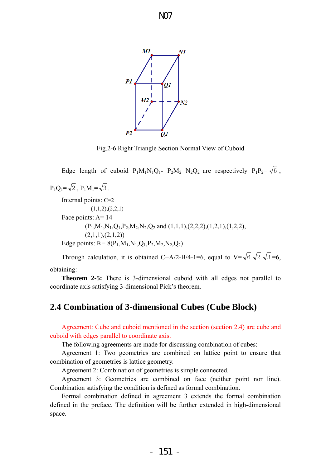

Fig.2-6 Right Triangle Section Normal View of Cuboid

Edge length of cuboid  $P_1M_1N_1Q_1$ -  $P_2M_2N_2Q_2$  are respectively  $P_1P_2=\sqrt{6}$ ,  $P_1O_1 = \sqrt{2}$ ,  $P_1M_1 = \sqrt{3}$ . Internal points: C=2  $(1,1,2),(2,2,1)$ Face points: A= 14  $(P_1,M_1,N_1,Q_1,P_2,M_2,N_2,Q_2 \text{ and } (1,1,1),(2,2,2),(1,2,1),(1,2,2),$  $(2,1,1),(2,1,2))$ Edge points:  $B = 8(P_1, M_1, N_1, Q_1, P_2, M_2, N_2, Q_2)$ 

Through calculation, it is obtained C+A/2-B/4-1=6, equal to V= $\sqrt{6}$   $\sqrt{2}$   $\sqrt{3}$  =6,

obtaining:

**Theorem 2-5:** There is 3-dimensional cuboid with all edges not parallel to coordinate axis satisfying 3-dimensional Pick's theorem.

# **2.4 Combination of 3-dimensional Cubes (Cube Block)**

Agreement: Cube and cuboid mentioned in the section (section 2.4) are cube and cuboid with edges parallel to coordinate axis.

The following agreements are made for discussing combination of cubes:

Agreement 1: Two geometries are combined on lattice point to ensure that combination of geometries is lattice geometry.

Agreement 2: Combination of geometries is simple connected.

Agreement 3: Geometries are combined on face (neither point nor line). Combination satisfying the condition is defined as formal combination.

Formal combination defined in agreement 3 extends the formal combination defined in the preface. The definition will be further extended in high-dimensional space.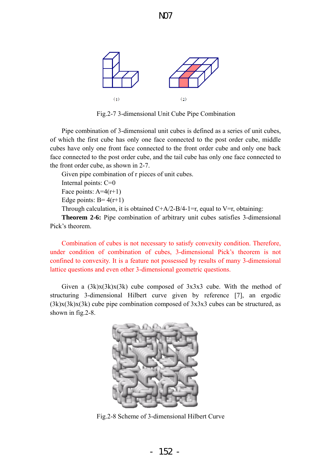

Fig.2-7 3-dimensional Unit Cube Pipe Combination

Pipe combination of 3-dimensional unit cubes is defined as a series of unit cubes, of which the first cube has only one face connected to the post order cube, middle cubes have only one front face connected to the front order cube and only one back face connected to the post order cube, and the tail cube has only one face connected to the front order cube, as shown in 2-7.

Given pipe combination of r pieces of unit cubes.

Internal points: C=0

Face points:  $A=4(r+1)$ 

Edge points:  $B = 4(r+1)$ 

Through calculation, it is obtained  $C+A/2-B/4-1=r$ , equal to V=r, obtaining:

**Theorem 2-6:** Pipe combination of arbitrary unit cubes satisfies 3-dimensional Pick's theorem.

Combination of cubes is not necessary to satisfy convexity condition. Therefore, under condition of combination of cubes, 3-dimensional Pick's theorem is not confined to convexity. It is a feature not possessed by results of many 3-dimensional lattice questions and even other 3-dimensional geometric questions.

Given a  $(3k)x(3k)x(3k)$  cube composed of  $3x3x3$  cube. With the method of structuring 3-dimensional Hilbert curve given by reference [7], an ergodic  $(3k)x(3k)x(3k)$  cube pipe combination composed of  $3x3x3$  cubes can be structured, as shown in fig.2-8.



Fig.2-8 Scheme of 3-dimensional Hilbert Curve

- 152 -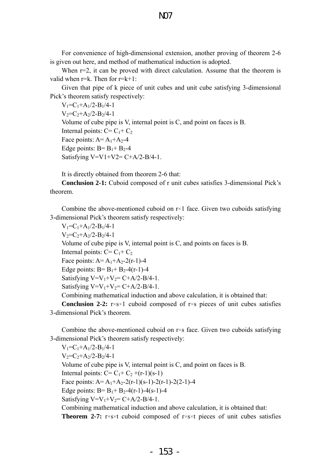For convenience of high-dimensional extension, another proving of theorem 2-6 is given out here, and method of mathematical induction is adopted.

N07

When  $r=2$ , it can be proved with direct calculation. Assume that the theorem is valid when  $r=k$ . Then for  $r=k+1$ :

Given that pipe of k piece of unit cubes and unit cube satisfying 3-dimensional Pick's theorem satisfy respectively:

 $V_1 = C_1 + A_1/2 - B_1/4 - 1$  $V_2 = C_2 + A_2/2 - B_2/4 - 1$ Volume of cube pipe is V, internal point is C, and point on faces is B. Internal points:  $C = C_1 + C_2$ Face points:  $A = A_1+A_2-4$ Edge points:  $B = B_1 + B_2 - 4$ Satisfying V=V1+V2=  $C+A/2-B/4-1$ .

It is directly obtained from theorem 2-6 that:

**Conclusion 2-1:** Cuboid composed of r unit cubes satisfies 3-dimensional Pick's theorem.

Combine the above-mentioned cuboid on  $r\times 1$  face. Given two cuboids satisfying 3-dimensional Pick's theorem satisfy respectively:

 $V_1 = C_1 + A_1/2 - B_1/4 - 1$  $V_2 = C_2 + A_2/2 - B_2/4 - 1$ Volume of cube pipe is V, internal point is C, and points on faces is B. Internal points:  $C = C_1 + C_2$ Face points:  $A = A_1 + A_2 - 2(r-1) - 4$ Edge points:  $B = B_1 + B_2 - 4(r-1) - 4$ Satisfying  $V=V_1+V_2=C+A/2-B/4-1$ . Satisfying  $V=V_1+V_2=C+A/2-B/4-1$ .

Combining mathematical induction and above calculation, it is obtained that:

**Conclusion 2-2:** r×s×1 cuboid composed of r×s pieces of unit cubes satisfies 3-dimensional Pick's theorem.

Combine the above-mentioned cuboid on r×s face. Given two cuboids satisfying 3-dimensional Pick's theorem satisfy respectively:

 $V_1 = C_1 + A_1/2 - B_1/4 - 1$  $V_2 = C_2 + A_2/2 - B_2/4 - 1$ Volume of cube pipe is V, internal point is C, and point on faces is B. Internal points:  $C = C_1 + C_2 + (r-1)(s-1)$ Face points:  $A = A_1+A_2-2(r-1)(s-1)-2(r-1)-2(2-1)-4$ Edge points:  $B = B_1 + B_2 - 4(r-1) - 4(s-1) - 4$ Satisfying  $V=V_1+V_2=C+A/2-B/4-1$ . Combining mathematical induction and above calculation, it is obtained that: **Theorem 2-7:** r×s×t cuboid composed of r×s×t pieces of unit cubes satisfies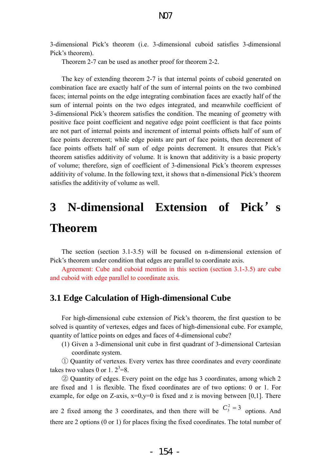3-dimensional Pick's theorem (i.e. 3-dimensional cuboid satisfies 3-dimensional Pick's theorem).

Theorem 2-7 can be used as another proof for theorem 2-2.

The key of extending theorem 2-7 is that internal points of cuboid generated on combination face are exactly half of the sum of internal points on the two combined faces; internal points on the edge integrating combination faces are exactly half of the sum of internal points on the two edges integrated, and meanwhile coefficient of 3-dimensional Pick's theorem satisfies the condition. The meaning of geometry with positive face point coefficient and negative edge point coefficient is that face points are not part of internal points and increment of internal points offsets half of sum of face points decrement; while edge points are part of face points, then decrement of face points offsets half of sum of edge points decrement. It ensures that Pick's theorem satisfies additivity of volume. It is known that additivity is a basic property of volume; therefore, sign of coefficient of 3-dimensional Pick's theorem expresses additivity of volume. In the following text, it shows that n-dimensional Pick's theorem satisfies the additivity of volume as well.

# **3 N-dimensional Extension of Pick**'**s Theorem**

The section (section 3.1-3.5) will be focused on n-dimensional extension of Pick's theorem under condition that edges are parallel to coordinate axis.

Agreement: Cube and cuboid mention in this section (section 3.1-3.5) are cube and cuboid with edge parallel to coordinate axis.

# **3.1 Edge Calculation of High-dimensional Cube**

For high-dimensional cube extension of Pick's theorem, the first question to be solved is quantity of vertexes, edges and faces of high-dimensional cube. For example, quantity of lattice points on edges and faces of 4-dimensional cube?

(1) Given a 3-dimensional unit cube in first quadrant of 3-dimensional Cartesian coordinate system.

① Quantity of vertexes. Every vertex has three coordinates and every coordinate takes two values 0 or 1.  $2^3=8$ .

② Quantity of edges. Every point on the edge has 3 coordinates, among which 2 are fixed and 1 is flexible. The fixed coordinates are of two options: 0 or 1. For example, for edge on Z-axis,  $x=0, y=0$  is fixed and z is moving between [0,1]. There

are 2 fixed among the 3 coordinates, and then there will be  $C_3^2 = 3$  options. And there are 2 options (0 or 1) for places fixing the fixed coordinates. The total number of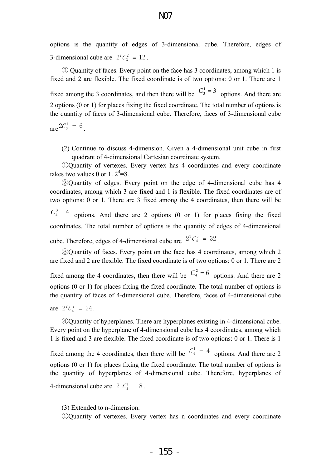options is the quantity of edges of 3-dimensional cube. Therefore, edges of 3-dimensional cube are  $2^2C_3^2 = 12$ .  $^{2}C_{3}^{2}$  =

③ Quantity of faces. Every point on the face has 3 coordinates, among which 1 is fixed and 2 are flexible. The fixed coordinate is of two options: 0 or 1. There are 1 fixed among the 3 coordinates, and then there will be  $C_3^1 = 3$  options. And there are 2 options (0 or 1) for places fixing the fixed coordinate. The total number of options is the quantity of faces of 3-dimensional cube. Therefore, faces of 3-dimensional cube  $\int \arctan 2C_3^1 = 6$ .

(2) Continue to discuss 4-dimension. Given a 4-dimensional unit cube in first quadrant of 4-dimensional Cartesian coordinate system.

①Quantity of vertexes. Every vertex has 4 coordinates and every coordinate takes two values 0 or 1.  $2^4=8$ .

②Quantity of edges. Every point on the edge of 4-dimensional cube has 4 coordinates, among which 3 are fixed and 1 is flexible. The fixed coordinates are of two options: 0 or 1. There are 3 fixed among the 4 coordinates, then there will be  $C_4^3 = 4$  options. And there are 2 options (0 or 1) for places fixing the fixed coordinates. The total number of options is the quantity of edges of 4-dimensional cube. Therefore, edges of 4-dimensional cube are  $2^{3}C_4^3 = 32$ .  ${}^3C_4^3 =$ 

③Quantity of faces. Every point on the face has 4 coordinates, among which 2 are fixed and 2 are flexible. The fixed coordinate is of two options: 0 or 1. There are 2 fixed among the 4 coordinates, then there will be  $C_4^2 = 6$  options. And there are 2 options (0 or 1) for places fixing the fixed coordinate. The total number of options is the quantity of faces of 4-dimensional cube. Therefore, faces of 4-dimensional cube

are 
$$
2^2C_4^2 = 24
$$
.

④Quantity of hyperplanes. There are hyperplanes existing in 4-dimensional cube. Every point on the hyperplane of 4-dimensional cube has 4 coordinates, among which 1 is fixed and 3 are flexible. The fixed coordinate is of two options: 0 or 1. There is 1

4-dimensional cube are  $2 C_4^1 = 8$ . fixed among the 4 coordinates, then there will be  $C_4^1 = 4$  options. And there are 2 options (0 or 1) for places fixing the fixed coordinate. The total number of options is the quantity of hyperplanes of 4-dimensional cube. Therefore, hyperplanes of

(3) Extended to n-dimension.

①Quantity of vertexes. Every vertex has n coordinates and every coordinate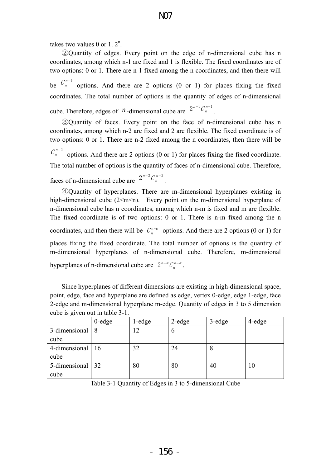takes two values 0 or 1.  $2^n$ .

②Quantity of edges. Every point on the edge of n-dimensional cube has n coordinates, among which n-1 are fixed and 1 is flexible. The fixed coordinates are of two options: 0 or 1. There are n-1 fixed among the n coordinates, and then there will options. And there are 2 options  $(0 \text{ or } 1)$  for places fixing the fixed coordinates. The total number of options is the quantity of edges of n-dimensional cube. Therefore, edges of  $n$ -dimensional cube are  $2^{n-1}C_n^{n-1}$ .  $C_n^{n-1}$  $n-1$   $C$ 

③Quantity of faces. Every point on the face of n-dimensional cube has n coordinates, among which n-2 are fixed and 2 are flexible. The fixed coordinate is of two options: 0 or 1. There are n-2 fixed among the n coordinates, then there will be options. And there are 2 options (0 or 1) for places fixing the fixed coordinate. The total number of options is the quantity of faces of n-dimensional cube. Therefore, faces of n-dimensional cube are  $2^{n-2}C_n^{n-2}$ .  $C_n^{n-2}$  $n-2$   $C$ 

④Quantity of hyperplanes. There are m-dimensional hyperplanes existing in high-dimensional cube  $(2\leq m\leq n)$ . Every point on the m-dimensional hyperplane of n-dimensional cube has n coordinates, among which n-m is fixed and m are flexible. The fixed coordinate is of two options: 0 or 1. There is n-m fixed among the n coordinates, and then there will be  $C_n^{\text{n-m}}$  options. And there are 2 options (0 or 1) for places fixing the fixed coordinate. The total number of options is the quantity of m-dimensional hyperplanes of n-dimensional cube. Therefore, m-dimensional hyperplanes of n-dimensional cube are  $2^{n-m}C_n^{n-m}$ .

Since hyperplanes of different dimensions are existing in high-dimensional space, point, edge, face and hyperplane are defined as edge, vertex 0-edge, edge 1-edge, face 2-edge and m-dimensional hyperplane m-edge. Quantity of edges in 3 to 5 dimension cube is given out in table 3-1.

|                    | $0$ -edge | $1 - edge$ | $2$ -edge | $3$ -edge | 4-edge |
|--------------------|-----------|------------|-----------|-----------|--------|
| 3-dimensional 8    |           | 12         | b         |           |        |
| cube               |           |            |           |           |        |
| 4-dimensional   16 |           | 32         | 24        | 8         |        |
| cube               |           |            |           |           |        |
| 5-dimensional 32   |           | 80         | 80        | 40        | 10     |
| cube               |           |            |           |           |        |

Table 3-1 Quantity of Edges in 3 to 5-dimensional Cube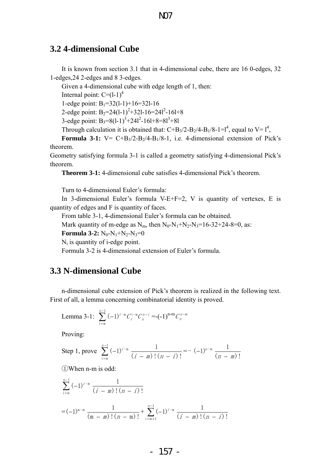# **3.2 4-dimensional Cube**

It is known from section 3.1 that in 4-dimensional cube, there are 16 0-edges, 32 1-edges,24 2-edges and 8 3-edges.

Given a 4-dimensional cube with edge length of 1, then:

Internal point:  $C=(1-1)^4$ 

1-edge point:  $B_1 = 32(1-1) + 16 = 321-16$ 

2-edge point:  $B_2=24(1-1)^2+321-16=241^2-161+8$ 

3-edge point:  $B_3 = 8(1-1)^3 + 241^2 - 161 + 8 = 81^3 + 81$ 

Through calculation it is obtained that:  $C+B_3/2-B_2/4-B_1/8-1=1^4$ , equal to  $V=1^4$ ,

**Formula 3-1:**  $V = C+B_3/2-B_2/4-B_1/8-1$ , i.e. 4-dimensional extension of Pick's theorem.

Geometry satisfying formula 3-1 is called a geometry satisfying 4-dimensional Pick's theorem.

**Theorem 3-1:** 4-dimensional cube satisfies 4-dimensional Pick's theorem.

Turn to 4-dimensional Euler's formula:

In 3-dimensional Euler's formula V-E+F=2, V is quantity of vertexes, E is quantity of edges and F is quantity of faces.

From table 3-1, 4-dimensional Euler's formula can be obtained.

Mark quantity of m-edge as  $N_m$ , then  $N_0-N_1+N_2-N_3=16-32+24-8=0$ , as:

**Formula 3-2:**  $N_0-N_1+N_2-N_3=0$ 

 $N_i$  is quantity of i-edge point.

Formula 3-2 is 4-dimensional extension of Euler's formula.

# **3.3 N-dimensional Cube**

n-dimensional cube extension of Pick's theorem is realized in the following text. First of all, a lemma concerning combinatorial identity is proved.

Lemma 3-1: 
$$
\sum_{i=m}^{n-1} (-1)^{i-m} C_i^{i-m} C_n^{n-i} = (-1)^{n-m} C_n^{n-m}
$$

Proving:

Step 1, prove 
$$
\sum_{i=m}^{n-1} (-1)^{i-m} \frac{1}{(i-m)!(n-i)!} = -(-1)^{n-m} \frac{1}{(n-m)!}
$$

①When n-m is odd:

$$
\sum_{i=m}^{n-1} (-1)^{i-m} \frac{1}{(i-m)!(n-i)!}
$$
  
=  $(-1)^{m-m} \frac{1}{(m-m)!(n-m)!} + \sum_{i=m+1}^{n-1} (-1)^{i-m} \frac{1}{(i-m)!(n-i)!}$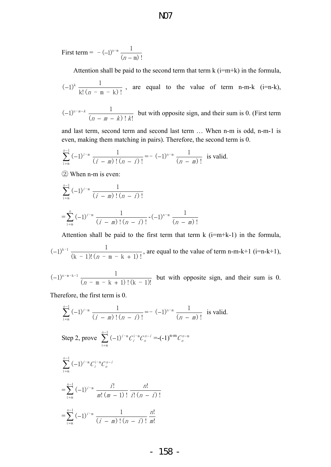First term =  $-(-1)^{n-m} \frac{1}{(n-m)!}$ 

Attention shall be paid to the second term that term  $k$  (i=m+k) in the formula,

$$
(-1)^k
$$
  $\frac{1}{k!(n-m-k)!}$ , are equal to the value of term n-m-k (i=n-k),

$$
(-1)^{n-m-k}
$$
  $\frac{1}{(n-m-k)!k!}$  but with opposite sign, and their sum is 0. (First term

and last term, second term and second last term … When n-m is odd, n-m-1 is even, making them matching in pairs). Therefore, the second term is 0.

$$
\sum_{i=m}^{n-1} (-1)^{i-m} \frac{1}{(i-m)!(n-i)!} = -(-1)^{n-m} \frac{1}{(n-m)!}
$$
 is valid.

② When n-m is even:

$$
\sum_{i=m}^{n-1} (-1)^{i-m} \frac{1}{(i-m)!(n-i)!}
$$
  
=
$$
\sum_{i=m}^{n} (-1)^{i-m} \frac{1}{(i-m)!(n-i)!} - (-1)^{n-m} \frac{1}{(n-m)!}
$$

Attention shall be paid to the first term that term  $k$  (i=m+k-1) in the formula,

 $(k-1)!(n-m-k+1)!$  $(-1)^{k-1}$   $\frac{1}{(k-1)!(n-m-k+1)!}$ , are equal to the value of term n-m-k+1 (i=n-k+1),

 $(n - m - k + 1)!(k - 1)!$  $(-1)^{n-m-k-1}$   $\frac{1}{(n-m-k+1)!(k-1)!}$  but with opposite sign, and their sum is 0.

Therefore, the first term is 0.

$$
\sum_{i=m}^{n-1} (-1)^{i-m} \frac{1}{(i-m)!(n-i)!} = -(-1)^{n-m} \frac{1}{(n-m)!} \text{ is valid.}
$$
  
\nStep 2, prove 
$$
\sum_{i=m}^{n-1} (-1)^{i-m} C_i^{i-m} C_n^{n-i} = -(-1)^{n-m} C_n^{n-m}
$$

$$
\sum_{i=m}^{n-1} (-1)^{i-m} C_i^{i-m} C_n^{n-i}
$$

$$
= \sum_{i=m}^{n-1} (-1)^{i-m} \frac{i!}{m!(m-1)!} \frac{n!}{i!(n-i)!}
$$

$$
= \sum_{i=m}^{n-1} (-1)^{i-m} \frac{1}{(i-m)!(n-i)!} \frac{n!}{m!}
$$

N07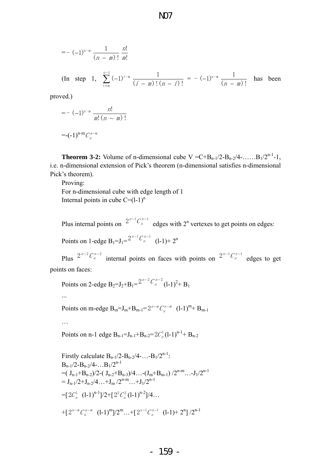$$
= -(-1)^{n-m} \frac{1}{(n-m)!} \frac{n!}{m!}
$$
  
(In step 1,  $\sum_{i=m}^{n-1} (-1)^{i-m} \frac{1}{(i-m)!(n-i)!} = -(-1)^{n-m} \frac{1}{(n-m)!}$  has been  
med)

proved.)

$$
= - (-1)^{n-m} \frac{n!}{m! (n - m)!}
$$
  
=  $(-1)^{n-m} C_n^{n-m}$ 

**Theorem 3-2:** Volume of n-dimensional cube  $V = C + B_{n-1}/2 - B_{n-2}/4 - \dots + B_1/2^{n-1}-1$ , i.e. n-dimensional extension of Pick's theorem (n-dimensional satisfies n-dimensional Pick's theorem).

Proving:

For n-dimensional cube with edge length of 1 Internal points in cube  $C=(l-1)^n$ 

Plus internal points on  $2^{n-1}C_n^{n-1}$  edges with  $2^n$  vertexes to get points on edges:  $n-1$   $C$ 

Points on 1-edge  $B_1 = J_1 = \frac{2^{n-1}C_n^{n-1}}{n}$  (l-1)+ 2<sup>n</sup>  $n-1$   $C$ 

Plus  $2^{n-2}C_n^{n-2}$  internal points on faces with points on  $2^{n-1}C_n^{n-1}$  edges to get points on faces:  $2^{n-2}C_n^{n-2}$  internal points on faces with points on  $2^{n-1}C_n^{n-1}$  $n-1$ <sub>C</sub>

Points on 2-edge B<sub>2</sub>=
$$
J_2+ B_1= \frac{2^{n-2}C_n^{n-2}}{(1-1)^2+ B_1}
$$

Points on m-edge  $B_m = J_m + B_{m-1} = 2^{n-m} C_n^{n-m}$  (l-1)<sup>m</sup>+  $B_{m-1}$ 

…

...

Points on n-1 edge  $B_{n-1} = J_{n-1} + B_{n-2} = 2C_n^1 (l-1)^{n-1} + B_{n-2}$ 

Firstly calculate B<sub>n-1</sub>/2-B<sub>n-2</sub>/4-...-B<sub>1</sub>/2<sup>n-1</sup>:  
\nB<sub>n-1</sub>/2-B<sub>n-2</sub>/4-...B<sub>1</sub>/2<sup>n-1</sup>  
\n= 
$$
(J_{n-1}+B_{n-2})/2-(J_{n-2}+B_{n-3})/4...
$$
-( $J_m+B_{m-1}$ ) /2<sup>n-m</sup>...- $J_1$ /2<sup>n-1</sup>  
\n=  $J_{n-1}$ /2+ $J_{n-2}$ /4...+ $J_m$ /2<sup>n-m</sup>...+ $J_1$ /2<sup>n-1</sup>  
\n=  $[2C_n^1 (1-1)^{n-1}] / 2+[2^2 C_n^2 (1-1)^{n-2}] / 4...$   
\n+  $[2^{n-m} C_n^{n-m} (1-1)^m]/2^m ...+[2^{n-1} C_n^{n-1} (1-1)+2^n] / 2^{n-1}$ 

- 159 -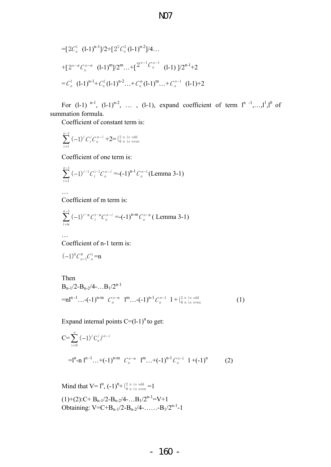N07

$$
=[2C_n^1 (l-1)^{n-1}]/2+[2^2C_n^2 (l-1)^{n-2}]/4...
$$
  
+
$$
[2^{n-m}C_n^{n-m} (l-1)^m]/2^m...+[2^{n-1}C_n^{n-1} (l-1)]/2^{n-1}+2
$$
  
= $C_n^1 (l-1)^{n-1}+C_n^2 (l-1)^{n-2}...+C_n^m (l-1)^m...+C_n^{n-1} (l-1)+2$ 

For  $(1-1)$  <sup>n-1</sup>,  $(1-1)^{n-2}$ , ...,  $(1-1)$ , expand coefficient of term  $1^{n-1}, \ldots, 1^{1}, 1^{0}$  of summation formula.

Coefficient of constant term is:

$$
\sum_{i=1}^{n-1} (-1)^i C_i^i C_n^{n-i} + 2 = \{^2_{0 \text{ n is odd}}\}
$$

Coefficient of one term is:

$$
\sum_{i=1}^{n-1} (-1)^{i-1} C_i^{i-1} C_n^{n-i} = (-1)^{n-1} C_n^{n-1} (\text{Lemma 3-1})
$$

Coefficient of m term is:

$$
\sum_{i=m}^{n-1} (-1)^{i-m} C_i^{i-m} C_n^{n-i} = (-1)^{n-m} C_n^{n-m}
$$
 (Lemma 3-1)

Coefficient of n-1 term is:

$$
(-1)^{0}C_{n-1}^{0}C_{n}^{1}=n
$$

…

…

Then  
\n
$$
B_{n-1}/2-B_{n-2}/4-...B_1/2^{n-1}
$$
\n
$$
=nI^{n-1}...-(-1)^{n-m} C_n^{n-m} I^m...-(-1)^{n-1} C_n^{n-1} I + \begin{cases} 2 & n \text{ is odd} \\ 0 & n \text{ is even} \end{cases}
$$
\n(1)

Expand internal points  $C=(l-1)^n$  to get:

$$
C = \sum_{i=0}^{n} (-1)^{i} C_{n}^{i} I^{n-i}
$$
  
= 
$$
[{}^{n} - n]^{n-1} ... + (-1)^{n-m} C_{n}^{n-m} 1^{m} ... + (-1)^{n-1} C_{n}^{n-1} 1 + (-1)^{n} (2)
$$

 Mind that 
$$
V = I^n
$$
,  $(-1)^n + \{2 \text{ n is odd} \atop 0 \text{ n is even}} = 1$ 

\n $(1) + (2): C + B_{n-1}/2 - B_{n-2}/4 - \ldots B_1/2^{n-1} = V + 1$ 

\nObtaining:  $V = C + B_{n-1}/2 - B_{n-2}/4 - \ldots - B_1/2^{n-1} - 1$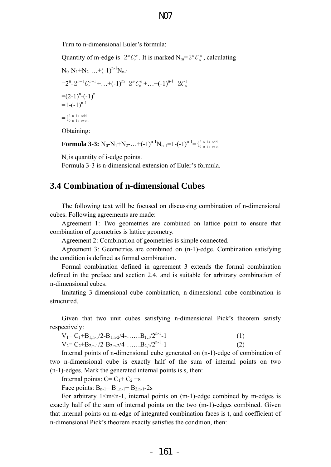Turn to n-dimensional Euler's formula:

Quantity of m-edge is  $2^m \mathcal{C}_n^m$ . It is marked  $N_m = 2^m \mathcal{C}_n^m$ , calculating  $N_0-N_1+N_2-...+(-1)^{n-1}N_{n-1}$  $=2^{n} - 2^{n-1}C_{n}^{n-1} + ... + (-1)^{m} 2^{m}C_{n}^{m} + ... + (-1)^{n-1} 2C_{n}^{1}$  $=(-2-1)^n-(-1)^n$  $=1$ -(-1)<sup>n-1</sup>  $=$   $\{$  $^{2n}$  is odd<br>0 n is even

Obtaining:

**Formula 3-3:**  $N_0$ - $N_1$ + $N_2$ -...+(-1)<sup>n-1</sup> $N_{n-1}$ =1-(-1)<sup>n-1</sup>={ ${}^{2}_{0}$  n is even

 $N_i$  is quantity of *i*-edge points.

Formula 3-3 is n-dimensional extension of Euler's formula.

### **3.4 Combination of n-dimensional Cubes**

The following text will be focused on discussing combination of n-dimensional cubes. Following agreements are made:

Agreement 1: Two geometries are combined on lattice point to ensure that combination of geometries is lattice geometry.

Agreement 2: Combination of geometries is simple connected.

Agreement 3: Geometries are combined on (n-1)-edge. Combination satisfying the condition is defined as formal combination.

Formal combination defined in agreement 3 extends the formal combination defined in the preface and section 2.4. and is suitable for arbitrary combination of n-dimensional cubes.

Imitating 3-dimensional cube combination, n-dimensional cube combination is structured.

Given that two unit cubes satisfying n-dimensional Pick's theorem satisfy respectively:

| $V_1 = C_1 + B_{1,n-1}/2 - B_{1,n-2}/4 - \ldots + B_{1,1}/2^{n-1} - 1$ | (1) |
|------------------------------------------------------------------------|-----|
| $V_2 = C_2 + B_{2,n-1}/2 - B_{2,n-2}/4 - \dots + B_{2,1}/2^{n-1} - 1$  | (2) |

Internal points of n-dimensional cube generated on (n-1)-edge of combination of two n-dimensional cube is exactly half of the sum of internal points on two (n-1)-edges. Mark the generated internal points is s, then:

Internal points:  $C = C_1 + C_2 + s$ 

Face points:  $B_{n-1} = B_{1,n-1} + B_{2,n-1} - 2s$ 

For arbitrary  $1 \le m \le n-1$ , internal points on  $(m-1)$ -edge combined by m-edges is exactly half of the sum of internal points on the two (m-1)-edges combined. Given that internal points on m-edge of integrated combination faces is t, and coefficient of n-dimensional Pick's theorem exactly satisfies the condition, then: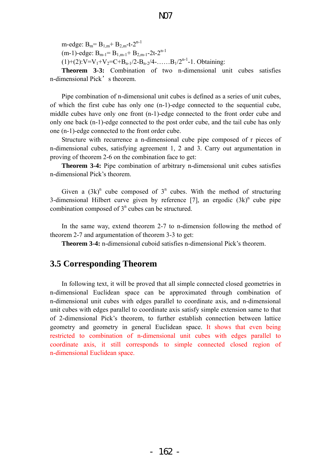m-edge:  $B_m = B_{1,m} + B_{2,m}$ -t- $2^{n-1}$ (m-1)-edge:  $B_{m-1} = B_{1,m-1} + B_{2,m-1} - 2t - 2^{n-1}$  $(1)+(2):V=V_1+V_2=C+B_{n-1}/2-B_{n-2}/4-....B_1/2^{n-1}-1.$  Obtaining:

**Theorem 3-3:** Combination of two n-dimensional unit cubes satisfies n-dimensional Pick's theorem.

Pipe combination of n-dimensional unit cubes is defined as a series of unit cubes, of which the first cube has only one (n-1)-edge connected to the sequential cube, middle cubes have only one front (n-1)-edge connected to the front order cube and only one back (n-1)-edge connected to the post order cube, and the tail cube has only one (n-1)-edge connected to the front order cube.

Structure with recurrence a n-dimensional cube pipe composed of r pieces of n-dimensional cubes, satisfying agreement 1, 2 and 3. Carry out argumentation in proving of theorem 2-6 on the combination face to get:

**Theorem 3-4:** Pipe combination of arbitrary n-dimensional unit cubes satisfies n-dimensional Pick's theorem.

Given a  $(3k)^n$  cube composed of  $3^n$  cubes. With the method of structuring 3-dimensional Hilbert curve given by reference  $[7]$ , an ergodic  $(3k)^n$  cube pipe combination composed of  $3<sup>n</sup>$  cubes can be structured.

In the same way, extend theorem 2-7 to n-dimension following the method of theorem 2-7 and argumentation of theorem 3-3 to get:

**Theorem 3-4:** n-dimensional cuboid satisfies n-dimensional Pick's theorem.

# **3.5 Corresponding Theorem**

In following text, it will be proved that all simple connected closed geometries in n-dimensional Euclidean space can be approximated through combination of n-dimensional unit cubes with edges parallel to coordinate axis, and n-dimensional unit cubes with edges parallel to coordinate axis satisfy simple extension same to that of 2-dimensional Pick's theorem, to further establish connection between lattice geometry and geometry in general Euclidean space. It shows that even being restricted to combination of n-dimensional unit cubes with edges parallel to coordinate axis, it still corresponds to simple connected closed region of n-dimensional Euclidean space.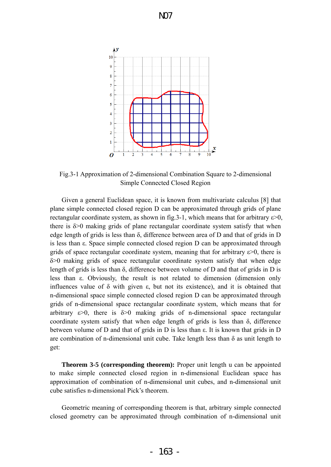

Fig.3-1 Approximation of 2-dimensional Combination Square to 2-dimensional Simple Connected Closed Region

Given a general Euclidean space, it is known from multivariate calculus [8] that plane simple connected closed region D can be approximated through grids of plane rectangular coordinate system, as shown in fig. 3-1, which means that for arbitrary  $\varepsilon > 0$ , there is  $\delta$  > 0 making grids of plane rectangular coordinate system satisfy that when edge length of grids is less than δ, difference between area of D and that of grids in D is less than ε. Space simple connected closed region D can be approximated through grids of space rectangular coordinate system, meaning that for arbitrary  $\varepsilon > 0$ , there is δ>0 making grids of space rectangular coordinate system satisfy that when edge length of grids is less than δ, difference between volume of D and that of grids in D is less than ε. Obviously, the result is not related to dimension (dimension only influences value of  $\delta$  with given  $\varepsilon$ , but not its existence), and it is obtained that n-dimensional space simple connected closed region D can be approximated through grids of n-dimensional space rectangular coordinate system, which means that for arbitrary  $\varepsilon > 0$ , there is  $\delta > 0$  making grids of n-dimensional space rectangular coordinate system satisfy that when edge length of grids is less than  $\delta$ , difference between volume of D and that of grids in D is less than ε. It is known that grids in D are combination of n-dimensional unit cube. Take length less than  $\delta$  as unit length to get:

**Theorem 3-5 (corresponding theorem):** Proper unit length u can be appointed to make simple connected closed region in n-dimensional Euclidean space has approximation of combination of n-dimensional unit cubes, and n-dimensional unit cube satisfies n-dimensional Pick's theorem.

Geometric meaning of corresponding theorem is that, arbitrary simple connected closed geometry can be approximated through combination of n-dimensional unit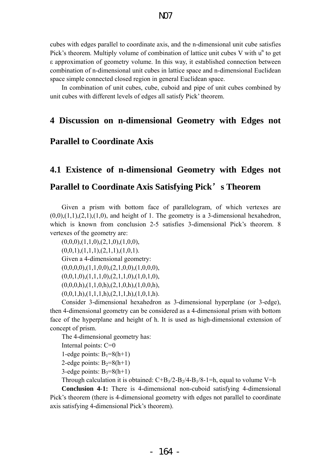cubes with edges parallel to coordinate axis, and the n-dimensional unit cube satisfies Pick's theorem. Multiply volume of combination of lattice unit cubes  $V$  with  $u^n$  to get ε approximation of geometry volume. In this way, it established connection between combination of n-dimensional unit cubes in lattice space and n-dimensional Euclidean space simple connected closed region in general Euclidean space.

In combination of unit cubes, cube, cuboid and pipe of unit cubes combined by unit cubes with different levels of edges all satisfy Pick' theorem.

# **4 Discussion on n-dimensional Geometry with Edges not**

# **Parallel to Coordinate Axis**

# **4.1 Existence of n-dimensional Geometry with Edges not Parallel to Coordinate Axis Satisfying Pick**'**s Theorem**

Given a prism with bottom face of parallelogram, of which vertexes are  $(0,0), (1,1), (2,1), (1,0)$ , and height of 1. The geometry is a 3-dimensional hexahedron, which is known from conclusion 2-5 satisfies 3-dimensional Pick's theorem. 8 vertexes of the geometry are:

 $(0,0,0), (1,1,0), (2,1,0), (1,0,0),$  $(0,0,1),(1,1,1),(2,1,1),(1,0,1).$ Given a 4-dimensional geometry:  $(0,0,0,0),$  $(1,1,0,0),$  $(2,1,0,0),$  $(1,0,0,0),$  $(0,0,1,0), (1,1,1,0), (2,1,1,0), (1,0,1,0),$  $(0,0,0,h),(1,1,0,h),(2,1,0,h),(1,0,0,h),$  $(0,0,1,h),(1,1,1,h),(2,1,1,h),(1,0,1,h).$ 

Consider 3-dimensional hexahedron as 3-dimensional hyperplane (or 3-edge), then 4-dimensional geometry can be considered as a 4-dimensional prism with bottom face of the hyperplane and height of h. It is used as high-dimensional extension of concept of prism.

The 4-dimensional geometry has:

Internal points: C=0

1-edge points:  $B_1=8(h+1)$ 

2-edge points:  $B_2=8(h+1)$ 

3-edge points:  $B_3=8(h+1)$ 

Through calculation it is obtained:  $C+B_3/2-B_2/4-B_1/8-1=h$ , equal to volume V=h

**Conclusion 4-1:** There is 4-dimensional non-cuboid satisfying 4-dimensional Pick's theorem (there is 4-dimensional geometry with edges not parallel to coordinate axis satisfying 4-dimensional Pick's theorem).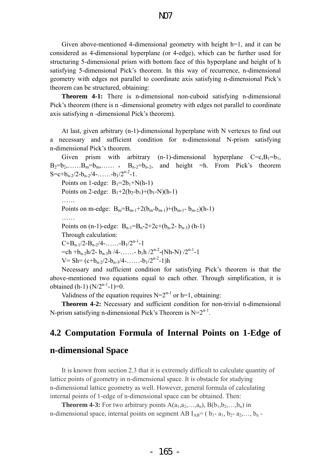Given above-mentioned 4-dimensional geometry with height h=1, and it can be considered as 4-dimensional hyperplane (or 4-edge), which can be further used for structuring 5-dimensional prism with bottom face of this hyperplane and height of h satisfying 5-dimensional Pick's theorem. In this way of recurrence, n-dimensional geometry with edges not parallel to coordinate axis satisfying n-dimensional Pick's theorem can be structured, obtaining:

**Theorem 4-1:** There is n-dimensional non-cuboid satisfying n-dimensional Pick's theorem (there is n -dimensional geometry with edges not parallel to coordinate axis satisfying n -dimensional Pick's theorem).

At last, given arbitrary (n-1)-dimensional hyperplane with N vertexes to find out a necessary and sufficient condition for n-dimensional N-prism satisfying n-dimensional Pick's theorem.

Given prism with arbitrary (n-1)-dimensional hyperplane  $C=c, B_1=b_1$ ,  $B_2=b_2,\ldots,B_m=b_m,\ldots$ ,  $B_{n-2}=b_{n-2}$ , and height =h. From Pick's theorem  $S=c+b_{n-2}/2-b_{n-2}/4-$ …… $-b_1/2^{n-2}-1$ . Points on 1-edge:  $B_1=2b_1+N(h-1)$ Points on 2-edge:  $B_1+2(b_2-b_1)+(b_1-N)(h-1)$ …… Points on m-edge:  $B_m = B_{m-1} + 2(b_m - b_{m-1}) + (b_{m-1} - b_{m-2})(h-1)$ …… Points on  $(n-1)$ -edge:  $B_{n-1}=B_n-2+2c+(b_n-2-b_{n-3})$   $(h-1)$ Through calculation:  $C+B_{n-1}/2-B_{n-2}/4-$ …… $-B_1/2^{n-1}-1$  $=$ ch +b<sub>n-2</sub>h/2- b<sub>n-3</sub>h /4-……- b<sub>1</sub>h /2<sup>n-2</sup>-(Nh-N) /2<sup>n-1</sup>-1  $V = Sh = (c+b_{n-2}/2-b_{n-3}/4- \ldots-b_1/2^{n-2}-1)h$ 

Necessary and sufficient condition for satisfying Pick's theorem is that the above-mentioned two equations equal to each other. Through simplification, it is obtained (h-1)  $(N/2^{n-1}-1)=0$ .

Validness of the equation requires  $N=2^{n-1}$  or h=1, obtaining:

**Theorem 4-2:** Necessary and sufficient condition for non-trivial n-dimensional N-prism satisfying n-dimensional Pick's Theorem is  $N=2^{n-1}$ .

# **4.2 Computation Formula of Internal Points on 1-Edge of**

# **n-dimensional Space**

It is known from section 2.3 that it is extremely difficult to calculate quantity of lattice points of geometry in n-dimensional space. It is obstacle for studying n-dimensional lattice geometry as well. However, general formula of calculating internal points of 1-edge of n-dimensional space can be obtained. Then:

**Theorem 4-3:** For two arbitrary points  $A(a_1, a_2, \ldots, a_n)$ ,  $B(b_1, b_2, \ldots, b_n)$  in n-dimensional space, internal points on segment AB  $I_{AB}=(b_1-a_1, b_2-a_2,..., b_n -$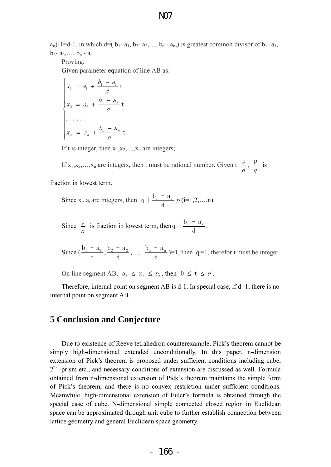$a_n$ )-1=d-1, in which d=( $b_1$ -  $a_1$ ,  $b_2$ -  $a_2$ ,...,  $b_n$ -  $a_n$ ) is greatest common divisor of  $b_1$ -  $a_1$ ,  $b_2$ -  $a_2, \ldots, b_n$  -  $a_n$ .

Proving:

Given parameter equation of line AB as:

$$
\begin{cases}\n x_1 = a_1 + \frac{b_1 - a_1}{d} t \\
x_2 = a_2 + \frac{b_2 - a_2}{d} t \\
\dots \dots \\
x_n = a_n + \frac{b_n - a_n}{d} t\n\end{cases}
$$

If t is integer, then  $x_1, x_2, \ldots, x_n$  are integers;

If  $x_1, x_2, \ldots, x_n$  are integers, then t must be rational number. Given  $t = \frac{p}{q}$  $\frac{p}{q}$ ,  $\it q$  $\frac{p}{i}$  is fraction in lowest term.

Since  $x_i$ ,  $a_i$  are integers, then  $q \mid \frac{b_i - a_i}{d} p$  (i=1,2,...,n).

Since  $\frac{p}{q}$  is fraction in lowest term, then q  $\frac{b_i - a_i}{d}$ .

Since  $(\frac{b_1 - a_1}{d}, \frac{b_2 - a_2}{d}, \dots, \frac{b_n - a_n}{d}) = 1$ , then  $|q| = 1$ , therefor t must be integer.

On line segment AB,  $a_i \le x_i \le b_i$ , then  $0 \le t \le d$ .

Therefore, internal point on segment AB is  $d-1$ . In special case, if  $d=1$ , there is no internal point on segment AB.

# **5 Conclusion and Conjecture**

Due to existence of Reeve tetrahedron counterexample, Pick's theorem cannot be simply high-dimensional extended unconditionally. In this paper, n-dimension extension of Pick's theorem is proposed under sufficient conditions including cube,  $2^{n-1}$ -prism etc., and necessary conditions of extension are discussed as well. Formula obtained from n-dimensional extension of Pick's theorem maintains the simple form of Pick's theorem, and there is no convex restriction under sufficient conditions. Meanwhile, high-dimensional extension of Euler's formula is obtained through the special case of cube. N-dimensional simple connected closed region in Euclidean space can be approximated through unit cube to further establish connection between lattice geometry and general Euclidean space geometry.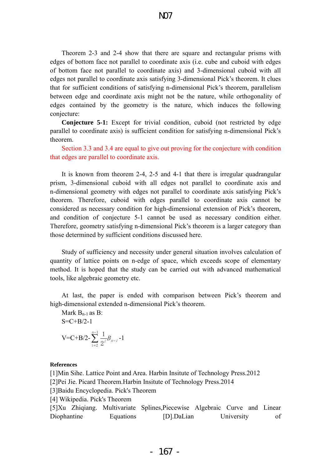Theorem 2-3 and 2-4 show that there are square and rectangular prisms with edges of bottom face not parallel to coordinate axis (i.e. cube and cuboid with edges of bottom face not parallel to coordinate axis) and 3-dimensional cuboid with all edges not parallel to coordinate axis satisfying 3-dimensional Pick's theorem. It clues that for sufficient conditions of satisfying n-dimensional Pick's theorem, parallelism between edge and coordinate axis might not be the nature, while orthogonality of edges contained by the geometry is the nature, which induces the following conjecture:

**Conjecture 5-1:** Except for trivial condition, cuboid (not restricted by edge parallel to coordinate axis) is sufficient condition for satisfying n-dimensional Pick's theorem.

Section 3.3 and 3.4 are equal to give out proving for the conjecture with condition that edges are parallel to coordinate axis.

It is known from theorem 2-4, 2-5 and 4-1 that there is irregular quadrangular prism, 3-dimensional cuboid with all edges not parallel to coordinate axis and n-dimensional geometry with edges not parallel to coordinate axis satisfying Pick's theorem. Therefore, cuboid with edges parallel to coordinate axis cannot be considered as necessary condition for high-dimensional extension of Pick's theorem, and condition of conjecture 5-1 cannot be used as necessary condition either. Therefore, geometry satisfying n-dimensional Pick's theorem is a larger category than those determined by sufficient conditions discussed here.

Study of sufficiency and necessity under general situation involves calculation of quantity of lattice points on n-edge of space, which exceeds scope of elementary method. It is hoped that the study can be carried out with advanced mathematical tools, like algebraic geometry etc.

At last, the paper is ended with comparison between Pick's theorem and high-dimensional extended n-dimensional Pick's theorem.

Mark  $B_{n-1}$  as B:  $S=C+B/2-1$  $V=C+B/2-\sum_{i}\frac{1}{2i}B_{n-i}$ n  $-\overline{\phantom{a}}B_{n-}$ −  $\sum_{i=2}^{n-1}$  $\frac{1}{n} B_{n-i}$ -1

#### **References**

[1]Min Sihe. Lattice Point and Area. Harbin Insitute of Technology Press.2012

[2]Pei Jie. Picard Theorem.Harbin Insitute of Technology Press.2014

[3]Baidu Encyclopedia. Pick's Theorem

 $\sum_{i=2}$  2

[4] Wikipedia. Pick's Theorem

[5]Xu Zhiqiang. Multivariate Splines,Piecewise Algebraic Curve and Linear Diophantine Equations [D].DaLian University of